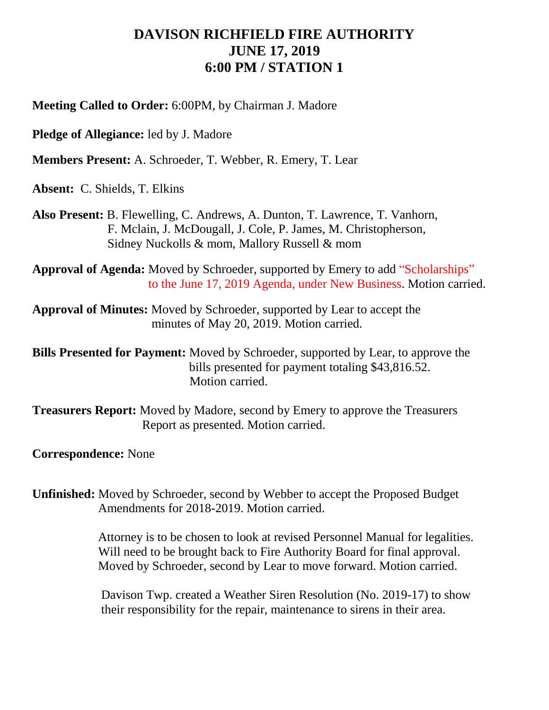## **DAVISON RICHFIELD FIRE AUTHORITY JUNE 17, 2019 6:00 PM / STATION 1**

**Meeting Called to Order:** 6:00PM, by Chairman J. Madore

**Pledge of Allegiance:** led by J. Madore

**Members Present:** A. Schroeder, T. Webber, R. Emery, T. Lear

**Absent:** C. Shields, T. Elkins

**Also Present:** B. Flewelling, C. Andrews, A. Dunton, T. Lawrence, T. Vanhorn, F. Mclain, J. McDougall, J. Cole, P. James, M. Christopherson, Sidney Nuckolls & mom, Mallory Russell & mom

**Approval of Agenda:** Moved by Schroeder, supported by Emery to add "Scholarships" to the June 17, 2019 Agenda, under New Business. Motion carried.

**Approval of Minutes:** Moved by Schroeder, supported by Lear to accept the minutes of May 20, 2019. Motion carried.

**Bills Presented for Payment:** Moved by Schroeder, supported by Lear, to approve the bills presented for payment totaling \$43,816.52. Motion carried.

**Treasurers Report:** Moved by Madore, second by Emery to approve the Treasurers Report as presented. Motion carried.

**Correspondence:** None

**Unfinished:** Moved by Schroeder, second by Webber to accept the Proposed Budget Amendments for 2018-2019. Motion carried.

> Attorney is to be chosen to look at revised Personnel Manual for legalities. Will need to be brought back to Fire Authority Board for final approval. Moved by Schroeder, second by Lear to move forward. Motion carried.

> Davison Twp. created a Weather Siren Resolution (No. 2019-17) to show their responsibility for the repair, maintenance to sirens in their area.